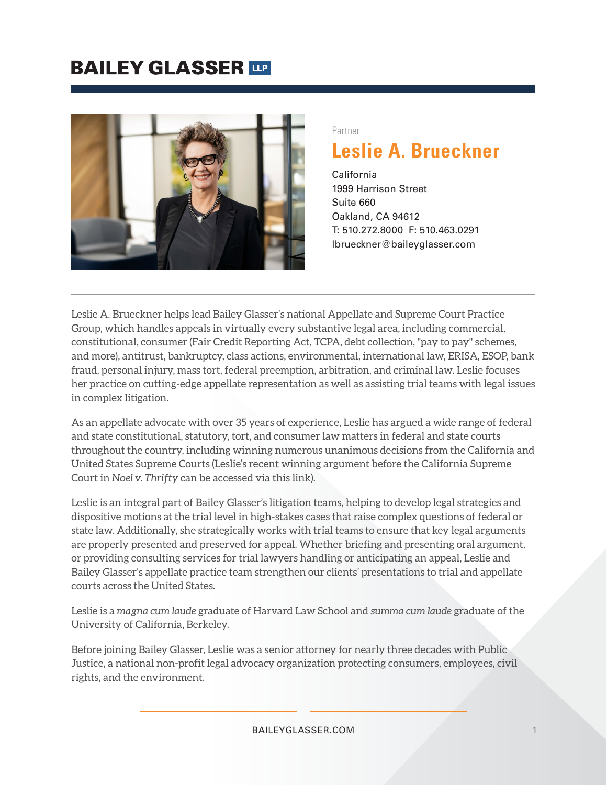### **BAILEY GLASSER IDE**



#### Partner

### **Leslie A. Brueckner**

California 1999 Harrison Street Suite 660 Oakland, CA 94612 T: 510.272.8000 F: 510.463.0291 lbrueckner@baileyglasser.com

Leslie A. Brueckner helps lead Bailey Glasser's national Appellate and Supreme Court Practice Group, which handles appeals in virtually every substantive legal area, including commercial, constitutional, consumer (Fair Credit Reporting Act, TCPA, debt collection, "pay to pay" schemes, and more), antitrust, bankruptcy, class actions, environmental, international law, ERISA, ESOP, bank fraud, personal injury, mass tort, federal preemption, arbitration, and criminal law. Leslie focuses her practice on cutting-edge appellate representation as well as assisting trial teams with legal issues in complex litigation.

As an appellate advocate with over 35 years of experience, Leslie has argued a wide range of federal and state constitutional, statutory, tort, and consumer law matters in federal and state courts throughout the country, including winning numerous unanimous decisions from the California and United States Supreme Courts (Leslie's recent winning argument before the California Supreme Court in *Noel v. Thrifty* can be accessed via this link).

Leslie is an integral part of Bailey Glasser's litigation teams, helping to develop legal strategies and dispositive motions at the trial level in high-stakes cases that raise complex questions of federal or state law. Additionally, she strategically works with trial teams to ensure that key legal arguments are properly presented and preserved for appeal. Whether briefing and presenting oral argument, or providing consulting services for trial lawyers handling or anticipating an appeal, Leslie and Bailey Glasser's appellate practice team strengthen our clients' presentations to trial and appellate courts across the United States.

Leslie is a *magna cum laude* graduate of Harvard Law School and *summa cum laude* graduate of the University of California, Berkeley.

Before joining Bailey Glasser, Leslie was a senior attorney for nearly three decades with Public Justice, a national non-profit legal advocacy organization protecting consumers, employees, civil rights, and the environment.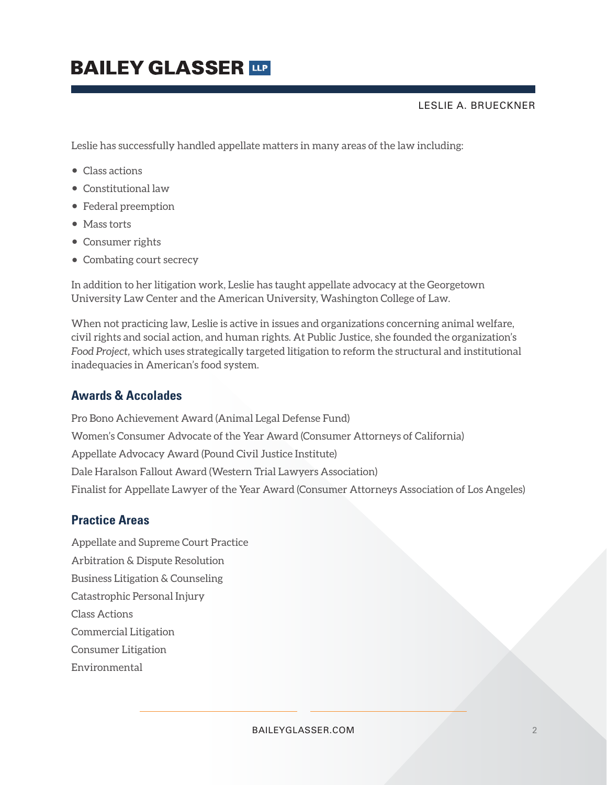LESLIE A. BRUECKNER

Leslie has successfully handled appellate matters in many areas of the law including:

- Class actions
- Constitutional law
- Federal preemption
- Mass torts
- Consumer rights
- Combating court secrecy

In addition to her litigation work, Leslie has taught appellate advocacy at the Georgetown University Law Center and the American University, Washington College of Law.

When not practicing law, Leslie is active in issues and organizations concerning animal welfare, civil rights and social action, and human rights. At Public Justice, she founded the organization's *Food Project,* which uses strategically targeted litigation to reform the structural and institutional inadequacies in American's food system.

#### **Awards & Accolades**

Pro Bono Achievement Award (Animal Legal Defense Fund) Women's Consumer Advocate of the Year Award (Consumer Attorneys of California) Appellate Advocacy Award (Pound Civil Justice Institute) Dale Haralson Fallout Award (Western Trial Lawyers Association) Finalist for Appellate Lawyer of the Year Award (Consumer Attorneys Association of Los Angeles)

#### **Practice Areas**

Appellate and Supreme Court Practice Arbitration & Dispute Resolution Business Litigation & Counseling Catastrophic Personal Injury Class Actions Commercial Litigation Consumer Litigation Environmental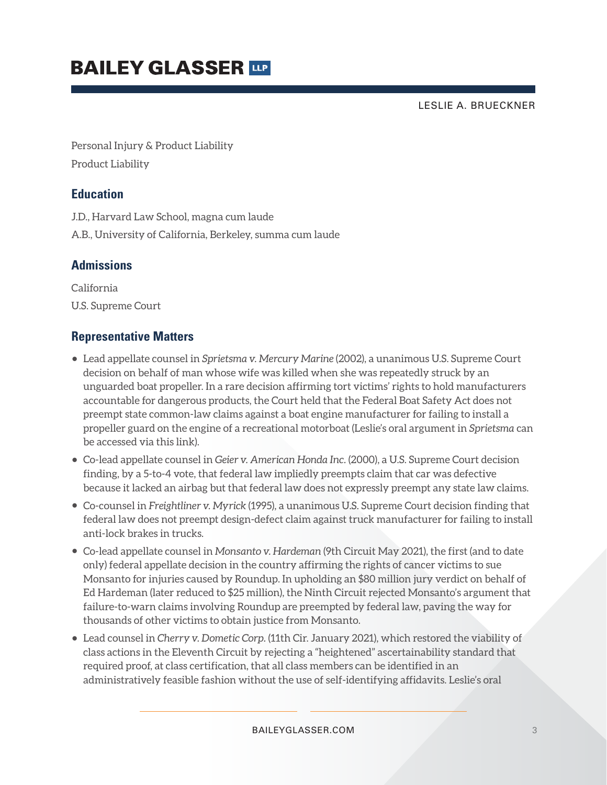LESLIE A. BRUECKNER

Personal Injury & Product Liability Product Liability

### **Education**

J.D., Harvard Law School, magna cum laude

A.B., University of California, Berkeley, summa cum laude

### **Admissions**

California U.S. Supreme Court

### **Representative Matters**

- Lead appellate counsel in *Sprietsma v. Mercury Marine* (2002), a unanimous U.S. Supreme Court decision on behalf of man whose wife was killed when she was repeatedly struck by an unguarded boat propeller. In a rare decision affirming tort victims' rights to hold manufacturers accountable for dangerous products, the Court held that the Federal Boat Safety Act does not preempt state common-law claims against a boat engine manufacturer for failing to install a propeller guard on the engine of a recreational motorboat (Leslie's oral argument in *Sprietsma* can be accessed via this link).
- Co-lead appellate counsel in *Geier v. American Honda Inc.* (2000), a U.S. Supreme Court decision finding, by a 5-to-4 vote, that federal law impliedly preempts claim that car was defective because it lacked an airbag but that federal law does not expressly preempt any state law claims.
- Co-counsel in *Freightliner v. Myrick* (1995), a unanimous U.S. Supreme Court decision finding that federal law does not preempt design-defect claim against truck manufacturer for failing to install anti-lock brakes in trucks.
- Co-lead appellate counsel in *Monsanto v. Hardeman* (9th Circuit May 2021), the first (and to date only) federal appellate decision in the country affirming the rights of cancer victims to sue Monsanto for injuries caused by Roundup. In upholding an \$80 million jury verdict on behalf of Ed Hardeman (later reduced to \$25 million), the Ninth Circuit rejected Monsanto's argument that failure-to-warn claims involving Roundup are preempted by federal law, paving the way for thousands of other victims to obtain justice from Monsanto.
- Lead counsel in *Cherry v. Dometic Corp.* (11th Cir. January 2021), which restored the viability of class actions in the Eleventh Circuit by rejecting a "heightened" ascertainability standard that required proof, at class certification, that all class members can be identified in an administratively feasible fashion without the use of self-identifying affidavits. Leslie's oral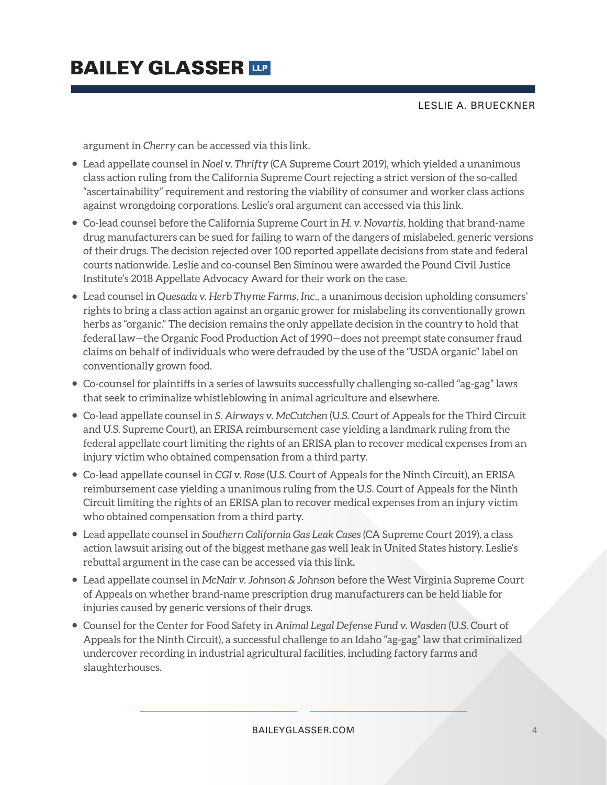LESLIE A. BRUECKNER

argument in *Cherry* can be accessed via this link.

- Lead appellate counsel in *Noel v. Thrifty* (CA Supreme Court 2019), which yielded a unanimous class action ruling from the California Supreme Court rejecting a strict version of the so-called "ascertainability" requirement and restoring the viability of consumer and worker class actions against wrongdoing corporations. Leslie's oral argument can accessed via this link.
- Co-lead counsel before the California Supreme Court in *H. v. Novartis*, holding that brand-name drug manufacturers can be sued for failing to warn of the dangers of mislabeled, generic versions of their drugs. The decision rejected over 100 reported appellate decisions from state and federal courts nationwide. Leslie and co-counsel Ben Siminou were awarded the Pound Civil Justice Institute's 2018 Appellate Advocacy Award for their work on the case.
- Lead counsel in *Quesada v. Herb Thyme Farms, Inc*., a unanimous decision upholding consumers' rights to bring a class action against an organic grower for mislabeling its conventionally grown herbs as "organic." The decision remains the only appellate decision in the country to hold that federal law—the Organic Food Production Act of 1990—does not preempt state consumer fraud claims on behalf of individuals who were defrauded by the use of the "USDA organic" label on conventionally grown food.
- Co-counsel for plaintiffs in a series of lawsuits successfully challenging so-called "ag-gag" laws that seek to criminalize whistleblowing in animal agriculture and elsewhere.
- Co-lead appellate counsel in *S. Airways v. McCutchen* (U.S. Court of Appeals for the Third Circuit and U.S. Supreme Court), an ERISA reimbursement case yielding a landmark ruling from the federal appellate court limiting the rights of an ERISA plan to recover medical expenses from an injury victim who obtained compensation from a third party.
- Co-lead appellate counsel in *CGI v. Rose* (U.S. Court of Appeals for the Ninth Circuit), an ERISA reimbursement case yielding a unanimous ruling from the U.S. Court of Appeals for the Ninth Circuit limiting the rights of an ERISA plan to recover medical expenses from an injury victim who obtained compensation from a third party.
- Lead appellate counsel in *Southern California Gas Leak Cases* (CA Supreme Court 2019), a class action lawsuit arising out of the biggest methane gas well leak in United States history. Leslie's rebuttal argument in the case can be accessed via this link**.**
- Lead appellate counsel in *McNair v. Johnson & Johnson* before the West Virginia Supreme Court of Appeals on whether brand-name prescription drug manufacturers can be held liable for injuries caused by generic versions of their drugs.
- Counsel for the Center for Food Safety in *Animal Legal Defense Fund v. Wasden* (U.S. Court of Appeals for the Ninth Circuit), a successful challenge to an Idaho "ag-gag" law that criminalized undercover recording in industrial agricultural facilities, including factory farms and slaughterhouses.